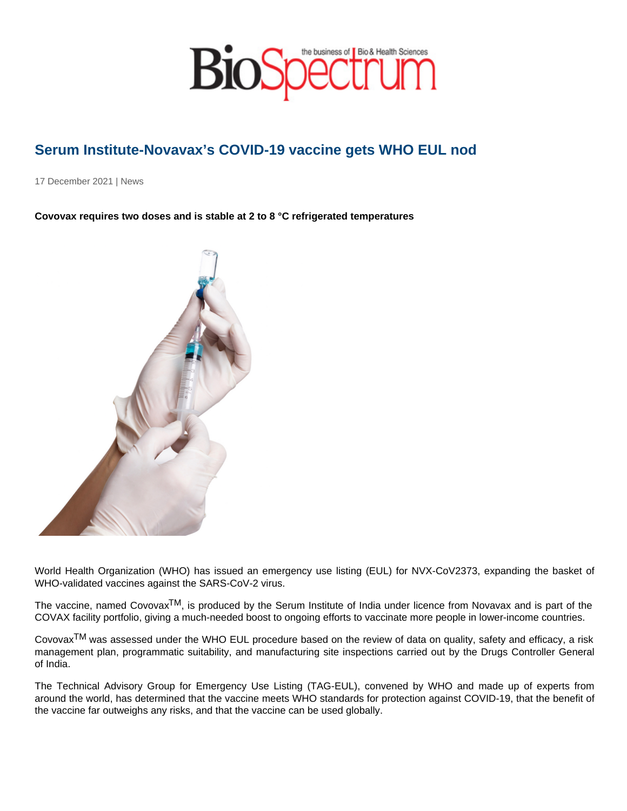## Serum Institute-Novavax's COVID-19 vaccine gets WHO EUL nod

17 December 2021 | News

Covovax requires two doses and is stable at 2 to 8 °C refrigerated temperatures

World Health Organization (WHO) has issued an emergency use listing (EUL) for NVX-CoV2373, expanding the basket of WHO-validated vaccines against the SARS-CoV-2 virus.

The vaccine, named Covovax<sup>TM</sup>, is produced by the Serum Institute of India under licence from Novavax and is part of the COVAX facility portfolio, giving a much-needed boost to ongoing efforts to vaccinate more people in lower-income countries.

Covovax<sup>TM</sup> was assessed under the WHO EUL procedure based on the review of data on quality, safety and efficacy, a risk management plan, programmatic suitability, and manufacturing site inspections carried out by the Drugs Controller General of India.

The Technical Advisory Group for Emergency Use Listing (TAG-EUL), convened by WHO and made up of experts from around the world, has determined that the vaccine meets WHO standards for protection against COVID-19, that the benefit of the vaccine far outweighs any risks, and that the vaccine can be used globally.